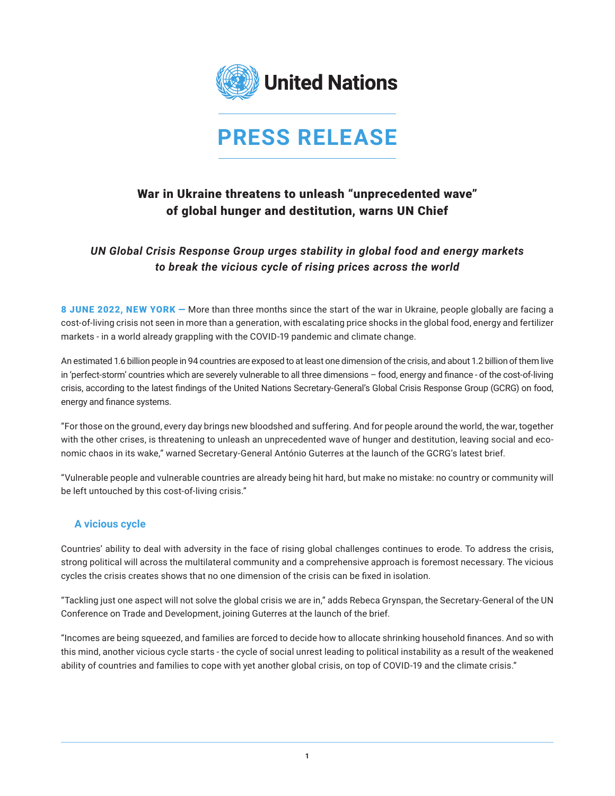

# **PRESS RELEASE**

## War in Ukraine threatens to unleash "unprecedented wave" of global hunger and destitution, warns UN Chief

## *UN Global Crisis Response Group urges stability in global food and energy markets to break the vicious cycle of rising prices across the world*

8 JUNE 2022, NEW YORK – More than three months since the start of the war in Ukraine, people globally are facing a cost-of-living crisis not seen in more than a generation, with escalating price shocks in the global food, energy and fertilizer markets - in a world already grappling with the COVID-19 pandemic and climate change.

An estimated 1.6 billion people in 94 countries are exposed to at least one dimension of the crisis, and about 1.2 billion of them live in 'perfect-storm' countries which are severely vulnerable to all three dimensions – food, energy and finance - of the cost-of-living crisis, according to the latest findings of the United Nations Secretary-General's Global Crisis Response Group (GCRG) on food, energy and finance systems.

"For those on the ground, every day brings new bloodshed and suffering. And for people around the world, the war, together with the other crises, is threatening to unleash an unprecedented wave of hunger and destitution, leaving social and economic chaos in its wake," warned Secretary-General António Guterres at the launch of the GCRG's latest brief.

"Vulnerable people and vulnerable countries are already being hit hard, but make no mistake: no country or community will be left untouched by this cost-of-living crisis."

#### **A vicious cycle**

Countries' ability to deal with adversity in the face of rising global challenges continues to erode. To address the crisis, strong political will across the multilateral community and a comprehensive approach is foremost necessary. The vicious cycles the crisis creates shows that no one dimension of the crisis can be fixed in isolation.

"Tackling just one aspect will not solve the global crisis we are in," adds Rebeca Grynspan, the Secretary-General of the UN Conference on Trade and Development, joining Guterres at the launch of the brief.

"Incomes are being squeezed, and families are forced to decide how to allocate shrinking household finances. And so with this mind, another vicious cycle starts - the cycle of social unrest leading to political instability as a result of the weakened ability of countries and families to cope with yet another global crisis, on top of COVID-19 and the climate crisis."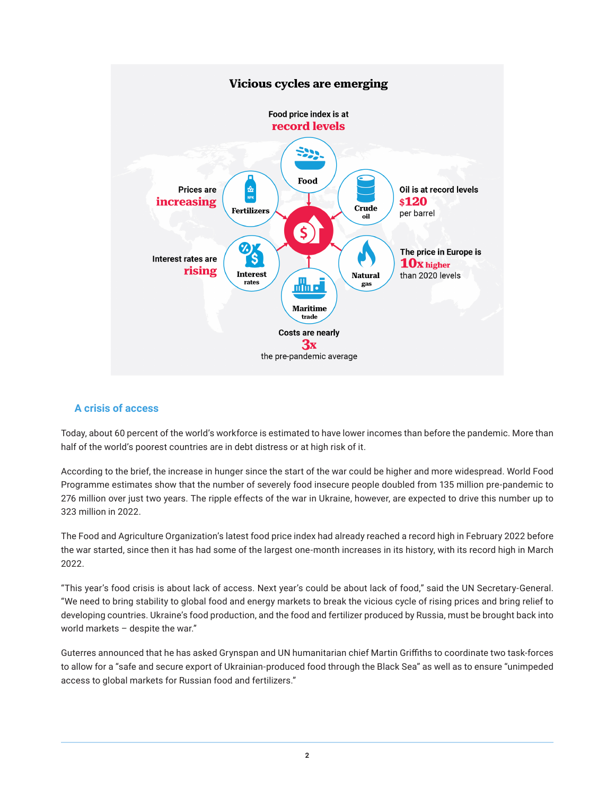

#### **A crisis of access**

Today, about 60 percent of the world's workforce is estimated to have lower incomes than before the pandemic. More than half of the world's poorest countries are in debt distress or at high risk of it.

According to the brief, the increase in hunger since the start of the war could be higher and more widespread. World Food Programme estimates show that the number of severely food insecure people doubled from 135 million pre-pandemic to 276 million over just two years. The ripple effects of the war in Ukraine, however, are expected to drive this number up to 323 million in 2022.

The Food and Agriculture Organization's latest food price index had already reached a record high in February 2022 before the war started, since then it has had some of the largest one-month increases in its history, with its record high in March 2022.

"This year's food crisis is about lack of access. Next year's could be about lack of food," said the UN Secretary-General. "We need to bring stability to global food and energy markets to break the vicious cycle of rising prices and bring relief to developing countries. Ukraine's food production, and the food and fertilizer produced by Russia, must be brought back into world markets – despite the war."

Guterres announced that he has asked Grynspan and UN humanitarian chief Martin Griffiths to coordinate two task-forces to allow for a "safe and secure export of Ukrainian-produced food through the Black Sea" as well as to ensure "unimpeded access to global markets for Russian food and fertilizers."